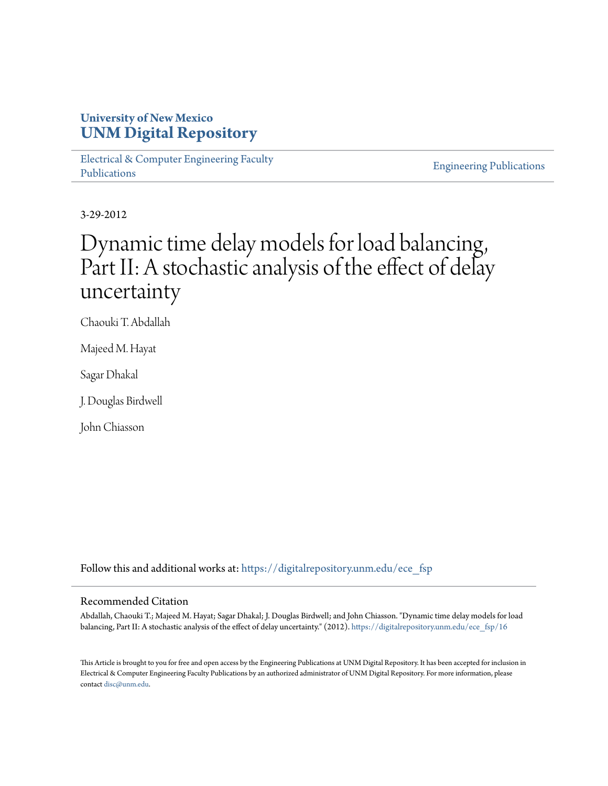# **University of New Mexico [UNM Digital Repository](https://digitalrepository.unm.edu?utm_source=digitalrepository.unm.edu%2Fece_fsp%2F16&utm_medium=PDF&utm_campaign=PDFCoverPages)**

[Electrical & Computer Engineering Faculty](https://digitalrepository.unm.edu/ece_fsp?utm_source=digitalrepository.unm.edu%2Fece_fsp%2F16&utm_medium=PDF&utm_campaign=PDFCoverPages) [Publications](https://digitalrepository.unm.edu/ece_fsp?utm_source=digitalrepository.unm.edu%2Fece_fsp%2F16&utm_medium=PDF&utm_campaign=PDFCoverPages)

[Engineering Publications](https://digitalrepository.unm.edu/eng_fsp?utm_source=digitalrepository.unm.edu%2Fece_fsp%2F16&utm_medium=PDF&utm_campaign=PDFCoverPages)

3-29-2012

# Dynamic time delay models for load balancing, Part II: A stochastic analysis of the effect of delay uncertainty

Chaouki T. Abdallah

Majeed M. Hayat

Sagar Dhakal

J. Douglas Birdwell

John Chiasson

Follow this and additional works at: [https://digitalrepository.unm.edu/ece\\_fsp](https://digitalrepository.unm.edu/ece_fsp?utm_source=digitalrepository.unm.edu%2Fece_fsp%2F16&utm_medium=PDF&utm_campaign=PDFCoverPages)

# Recommended Citation

Abdallah, Chaouki T.; Majeed M. Hayat; Sagar Dhakal; J. Douglas Birdwell; and John Chiasson. "Dynamic time delay models for load balancing, Part II: A stochastic analysis of the effect of delay uncertainty." (2012). [https://digitalrepository.unm.edu/ece\\_fsp/16](https://digitalrepository.unm.edu/ece_fsp/16?utm_source=digitalrepository.unm.edu%2Fece_fsp%2F16&utm_medium=PDF&utm_campaign=PDFCoverPages)

This Article is brought to you for free and open access by the Engineering Publications at UNM Digital Repository. It has been accepted for inclusion in Electrical & Computer Engineering Faculty Publications by an authorized administrator of UNM Digital Repository. For more information, please contact [disc@unm.edu.](mailto:disc@unm.edu)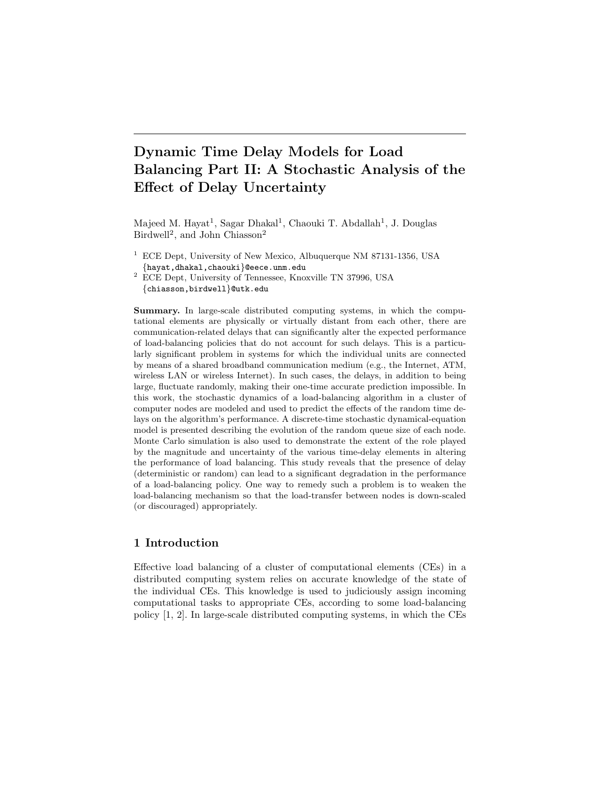# **Dynamic Time Delay Models for Load Balancing Part II: A Stochastic Analysis of the Effect of Delay Uncertainty**

Majeed M. Hayat<sup>1</sup>, Sagar Dhakal<sup>1</sup>, Chaouki T. Abdallah<sup>1</sup>, J. Douglas Birdwell<sup>2</sup>, and John Chiasson<sup>2</sup>

- <sup>1</sup> ECE Dept, University of New Mexico, Albuquerque NM 87131-1356, USA {hayat,dhakal,chaouki}@eece.unm.edu
- <sup>2</sup> ECE Dept, University of Tennessee, Knoxville TN 37996, USA {chiasson,birdwell}@utk.edu

**Summary.** In large-scale distributed computing systems, in which the computational elements are physically or virtually distant from each other, there are communication-related delays that can significantly alter the expected performance of load-balancing policies that do not account for such delays. This is a particularly significant problem in systems for which the individual units are connected by means of a shared broadband communication medium (e.g., the Internet, ATM, wireless LAN or wireless Internet). In such cases, the delays, in addition to being large, fluctuate randomly, making their one-time accurate prediction impossible. In this work, the stochastic dynamics of a load-balancing algorithm in a cluster of computer nodes are modeled and used to predict the effects of the random time delays on the algorithm's performance. A discrete-time stochastic dynamical-equation model is presented describing the evolution of the random queue size of each node. Monte Carlo simulation is also used to demonstrate the extent of the role played by the magnitude and uncertainty of the various time-delay elements in altering the performance of load balancing. This study reveals that the presence of delay (deterministic or random) can lead to a significant degradation in the performance of a load-balancing policy. One way to remedy such a problem is to weaken the load-balancing mechanism so that the load-transfer between nodes is down-scaled (or discouraged) appropriately.

# **1 Introduction**

Effective load balancing of a cluster of computational elements (CEs) in a distributed computing system relies on accurate knowledge of the state of the individual CEs. This knowledge is used to judiciously assign incoming computational tasks to appropriate CEs, according to some load-balancing policy [1, 2]. In large-scale distributed computing systems, in which the CEs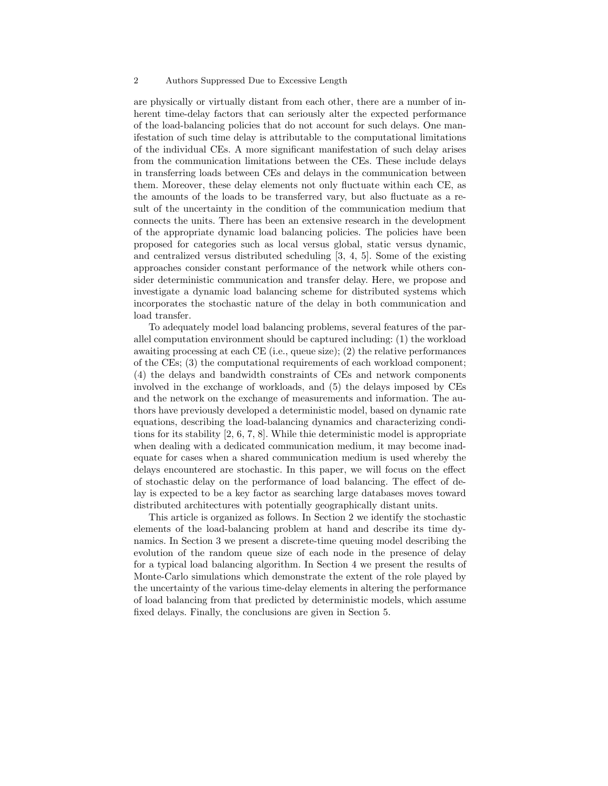#### 2 Authors Suppressed Due to Excessive Length

are physically or virtually distant from each other, there are a number of inherent time-delay factors that can seriously alter the expected performance of the load-balancing policies that do not account for such delays. One manifestation of such time delay is attributable to the computational limitations of the individual CEs. A more significant manifestation of such delay arises from the communication limitations between the CEs. These include delays in transferring loads between CEs and delays in the communication between them. Moreover, these delay elements not only fluctuate within each CE, as the amounts of the loads to be transferred vary, but also fluctuate as a result of the uncertainty in the condition of the communication medium that connects the units. There has been an extensive research in the development of the appropriate dynamic load balancing policies. The policies have been proposed for categories such as local versus global, static versus dynamic, and centralized versus distributed scheduling [3, 4, 5]. Some of the existing approaches consider constant performance of the network while others consider deterministic communication and transfer delay. Here, we propose and investigate a dynamic load balancing scheme for distributed systems which incorporates the stochastic nature of the delay in both communication and load transfer.

To adequately model load balancing problems, several features of the parallel computation environment should be captured including: (1) the workload awaiting processing at each CE (i.e., queue size); (2) the relative performances of the CEs; (3) the computational requirements of each workload component; (4) the delays and bandwidth constraints of CEs and network components involved in the exchange of workloads, and (5) the delays imposed by CEs and the network on the exchange of measurements and information. The authors have previously developed a deterministic model, based on dynamic rate equations, describing the load-balancing dynamics and characterizing conditions for its stability [2, 6, 7, 8]. While thie deterministic model is appropriate when dealing with a dedicated communication medium, it may become inadequate for cases when a shared communication medium is used whereby the delays encountered are stochastic. In this paper, we will focus on the effect of stochastic delay on the performance of load balancing. The effect of delay is expected to be a key factor as searching large databases moves toward distributed architectures with potentially geographically distant units.

This article is organized as follows. In Section 2 we identify the stochastic elements of the load-balancing problem at hand and describe its time dynamics. In Section 3 we present a discrete-time queuing model describing the evolution of the random queue size of each node in the presence of delay for a typical load balancing algorithm. In Section 4 we present the results of Monte-Carlo simulations which demonstrate the extent of the role played by the uncertainty of the various time-delay elements in altering the performance of load balancing from that predicted by deterministic models, which assume fixed delays. Finally, the conclusions are given in Section 5.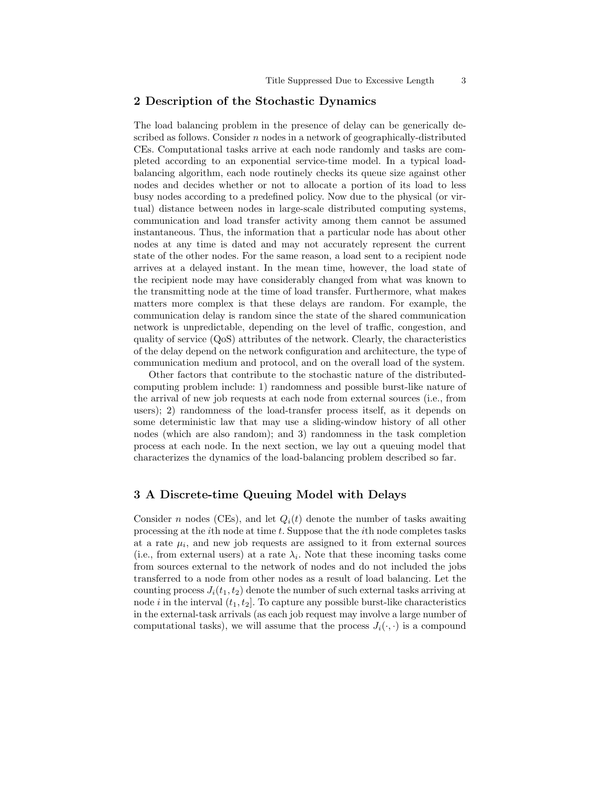## **2 Description of the Stochastic Dynamics**

The load balancing problem in the presence of delay can be generically described as follows. Consider  $n$  nodes in a network of geographically-distributed CEs. Computational tasks arrive at each node randomly and tasks are completed according to an exponential service-time model. In a typical loadbalancing algorithm, each node routinely checks its queue size against other nodes and decides whether or not to allocate a portion of its load to less busy nodes according to a predefined policy. Now due to the physical (or virtual) distance between nodes in large-scale distributed computing systems, communication and load transfer activity among them cannot be assumed instantaneous. Thus, the information that a particular node has about other nodes at any time is dated and may not accurately represent the current state of the other nodes. For the same reason, a load sent to a recipient node arrives at a delayed instant. In the mean time, however, the load state of the recipient node may have considerably changed from what was known to the transmitting node at the time of load transfer. Furthermore, what makes matters more complex is that these delays are random. For example, the communication delay is random since the state of the shared communication network is unpredictable, depending on the level of traffic, congestion, and quality of service (QoS) attributes of the network. Clearly, the characteristics of the delay depend on the network configuration and architecture, the type of communication medium and protocol, and on the overall load of the system.

Other factors that contribute to the stochastic nature of the distributedcomputing problem include: 1) randomness and possible burst-like nature of the arrival of new job requests at each node from external sources (i.e., from users); 2) randomness of the load-transfer process itself, as it depends on some deterministic law that may use a sliding-window history of all other nodes (which are also random); and 3) randomness in the task completion process at each node. In the next section, we lay out a queuing model that characterizes the dynamics of the load-balancing problem described so far.

#### **3 A Discrete-time Queuing Model with Delays**

Consider n nodes (CEs), and let  $Q_i(t)$  denote the number of tasks awaiting processing at the ith node at time t. Suppose that the ith node completes tasks at a rate  $\mu_i$ , and new job requests are assigned to it from external sources (i.e., from external users) at a rate  $\lambda_i$ . Note that these incoming tasks come from sources external to the network of nodes and do not included the jobs transferred to a node from other nodes as a result of load balancing. Let the counting process  $J_i(t_1, t_2)$  denote the number of such external tasks arriving at node i in the interval  $(t_1, t_2]$ . To capture any possible burst-like characteristics in the external-task arrivals (as each job request may involve a large number of computational tasks), we will assume that the process  $J_i(\cdot, \cdot)$  is a compound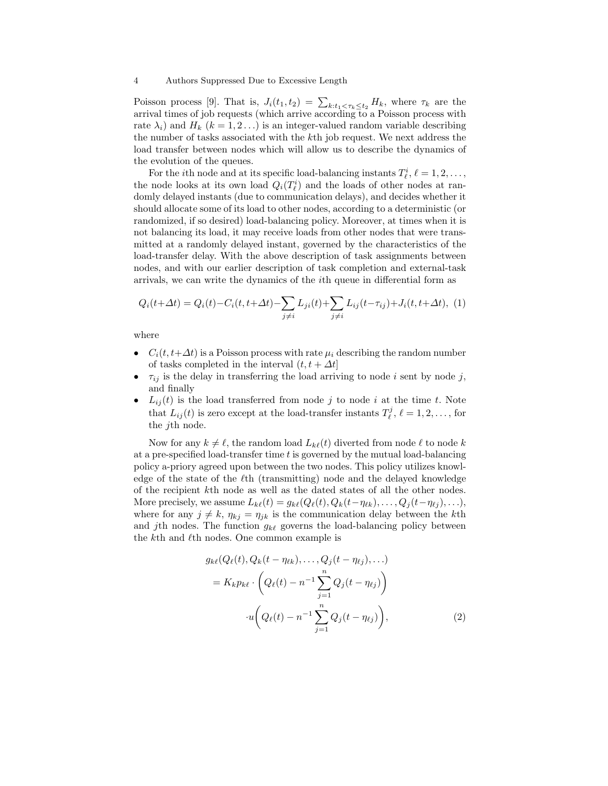#### 4 Authors Suppressed Due to Excessive Length

Poisson process [9]. That is,  $J_i(t_1, t_2) = \sum_{k:t_1 < \tau_k \le t_2} H_k$ , where  $\tau_k$  are the arrival times of job requests (which arrive according to a Poisson process with rate  $\lambda_i$ ) and  $H_k$  ( $k = 1, 2...$ ) is an integer-valued random variable describing the number of tasks associated with the kth job request. We next address the load transfer between nodes which will allow us to describe the dynamics of the evolution of the queues.

For the *i*th node and at its specific load-balancing instants  $T_{\ell}^{i}$ ,  $\ell = 1, 2, ...,$ the node looks at its own load  $Q_i(T^i_\ell)$  and the loads of other nodes at randomly delayed instants (due to communication delays), and decides whether it should allocate some of its load to other nodes, according to a deterministic (or randomized, if so desired) load-balancing policy. Moreover, at times when it is not balancing its load, it may receive loads from other nodes that were transmitted at a randomly delayed instant, governed by the characteristics of the load-transfer delay. With the above description of task assignments between nodes, and with our earlier description of task completion and external-task arrivals, we can write the dynamics of the ith queue in differential form as

$$
Q_i(t + \Delta t) = Q_i(t) - C_i(t, t + \Delta t) - \sum_{j \neq i} L_{ji}(t) + \sum_{j \neq i} L_{ij}(t - \tau_{ij}) + J_i(t, t + \Delta t), \tag{1}
$$

where

- $C_i(t, t+\Delta t)$  is a Poisson process with rate  $\mu_i$  describing the random number of tasks completed in the interval  $(t, t + \Delta t]$
- $\tau_{ij}$  is the delay in transferring the load arriving to node i sent by node j, and finally
- $L_{ij}(t)$  is the load transferred from node j to node i at the time t. Note that  $L_{ij}(t)$  is zero except at the load-transfer instants  $T_{\ell}^{j}$ ,  $\ell = 1, 2, \ldots$ , for the jth node.

Now for any  $k \neq \ell$ , the random load  $L_{k\ell}(t)$  diverted from node  $\ell$  to node k at a pre-specified load-transfer time  $t$  is governed by the mutual load-balancing policy a-priory agreed upon between the two nodes. This policy utilizes knowledge of the state of the  $\ell$ th (transmitting) node and the delayed knowledge of the recipient kth node as well as the dated states of all the other nodes. More precisely, we assume  $L_{k\ell}(t) = g_{k\ell}(Q_{\ell}(t), Q_k(t-\eta_{\ell k}), \ldots, Q_j(t-\eta_{\ell j}), \ldots),$ where for any  $j \neq k$ ,  $\eta_{kj} = \eta_{jk}$  is the communication delay between the kth and *j*th nodes. The function  $g_{k\ell}$  governs the load-balancing policy between the  $k$ th and  $\ell$ th nodes. One common example is

$$
g_{k\ell}(Q_{\ell}(t), Q_k(t - \eta_{\ell k}), \dots, Q_j(t - \eta_{\ell j}), \dots)
$$
  
=  $K_k p_{k\ell} \cdot \left(Q_{\ell}(t) - n^{-1} \sum_{j=1}^n Q_j(t - \eta_{\ell j})\right)$   

$$
\cdot u\left(Q_{\ell}(t) - n^{-1} \sum_{j=1}^n Q_j(t - \eta_{\ell j})\right),
$$
 (2)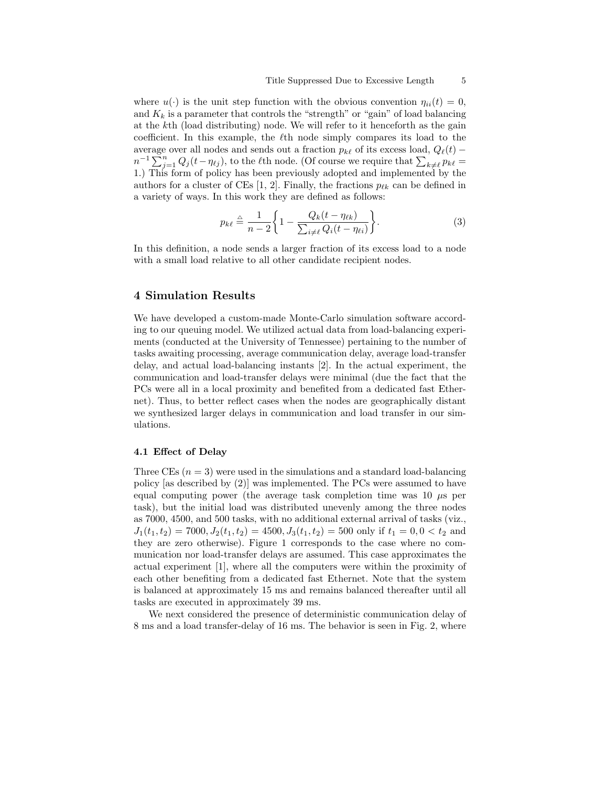where  $u(\cdot)$  is the unit step function with the obvious convention  $\eta_{ii}(t) = 0$ , and  $K_k$  is a parameter that controls the "strength" or "gain" of load balancing at the kth (load distributing) node. We will refer to it henceforth as the gain coefficient. In this example, the  $\ell$ <sup>th</sup> node simply compares its load to the average over all nodes and sends out a fraction  $p_{k\ell}$  of its excess load,  $Q_{\ell}(t)$  –  $n^{-1}\sum_{k=1}^n Q_j(t-\eta_{\ell j}),$  to the  $\ell$ th node. (Of course we require that  $\sum_{k\neq \ell} p_{k\ell} =$ 1.) This form of policy has been previously adopted and implemented by the authors for a cluster of CEs [1, 2]. Finally, the fractions  $p_{\ell k}$  can be defined in a variety of ways. In this work they are defined as follows:

$$
p_{k\ell} \stackrel{\triangle}{=} \frac{1}{n-2} \bigg\{ 1 - \frac{Q_k(t - \eta_{\ell k})}{\sum_{i \neq \ell} Q_i(t - \eta_{\ell i})} \bigg\}.
$$
 (3)

In this definition, a node sends a larger fraction of its excess load to a node with a small load relative to all other candidate recipient nodes.

#### **4 Simulation Results**

We have developed a custom-made Monte-Carlo simulation software according to our queuing model. We utilized actual data from load-balancing experiments (conducted at the University of Tennessee) pertaining to the number of tasks awaiting processing, average communication delay, average load-transfer delay, and actual load-balancing instants [2]. In the actual experiment, the communication and load-transfer delays were minimal (due the fact that the PCs were all in a local proximity and benefited from a dedicated fast Ethernet). Thus, to better reflect cases when the nodes are geographically distant we synthesized larger delays in communication and load transfer in our simulations.

#### **4.1 Effect of Delay**

Three CEs  $(n = 3)$  were used in the simulations and a standard load-balancing policy [as described by (2)] was implemented. The PCs were assumed to have equal computing power (the average task completion time was  $10 \mu s$  per task), but the initial load was distributed unevenly among the three nodes as 7000, 4500, and 500 tasks, with no additional external arrival of tasks (viz.,  $J_1(t_1, t_2) = 7000, J_2(t_1, t_2) = 4500, J_3(t_1, t_2) = 500$  only if  $t_1 = 0, 0 < t_2$  and they are zero otherwise). Figure 1 corresponds to the case where no communication nor load-transfer delays are assumed. This case approximates the actual experiment [1], where all the computers were within the proximity of each other benefiting from a dedicated fast Ethernet. Note that the system is balanced at approximately 15 ms and remains balanced thereafter until all tasks are executed in approximately 39 ms.

We next considered the presence of deterministic communication delay of 8 ms and a load transfer-delay of 16 ms. The behavior is seen in Fig. 2, where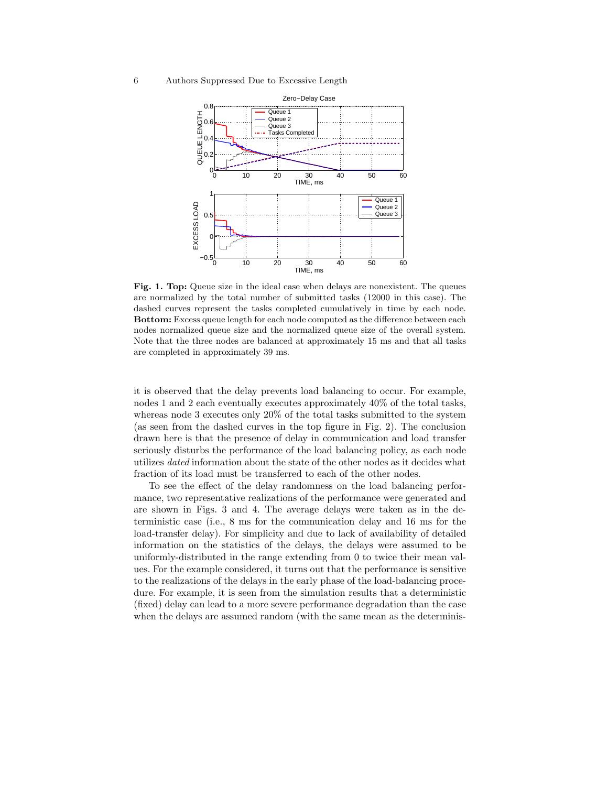#### 6 Authors Suppressed Due to Excessive Length



**Fig. 1. Top:** Queue size in the ideal case when delays are nonexistent. The queues are normalized by the total number of submitted tasks (12000 in this case). The dashed curves represent the tasks completed cumulatively in time by each node. **Bottom:** Excess queue length for each node computed as the difference between each nodes normalized queue size and the normalized queue size of the overall system. Note that the three nodes are balanced at approximately 15 ms and that all tasks are completed in approximately 39 ms.

it is observed that the delay prevents load balancing to occur. For example, nodes 1 and 2 each eventually executes approximately 40% of the total tasks, whereas node 3 executes only 20% of the total tasks submitted to the system (as seen from the dashed curves in the top figure in Fig. 2). The conclusion drawn here is that the presence of delay in communication and load transfer seriously disturbs the performance of the load balancing policy, as each node utilizes *dated* information about the state of the other nodes as it decides what fraction of its load must be transferred to each of the other nodes.

To see the effect of the delay randomness on the load balancing performance, two representative realizations of the performance were generated and are shown in Figs. 3 and 4. The average delays were taken as in the deterministic case (i.e., 8 ms for the communication delay and 16 ms for the load-transfer delay). For simplicity and due to lack of availability of detailed information on the statistics of the delays, the delays were assumed to be uniformly-distributed in the range extending from 0 to twice their mean values. For the example considered, it turns out that the performance is sensitive to the realizations of the delays in the early phase of the load-balancing procedure. For example, it is seen from the simulation results that a deterministic (fixed) delay can lead to a more severe performance degradation than the case when the delays are assumed random (with the same mean as the determinis-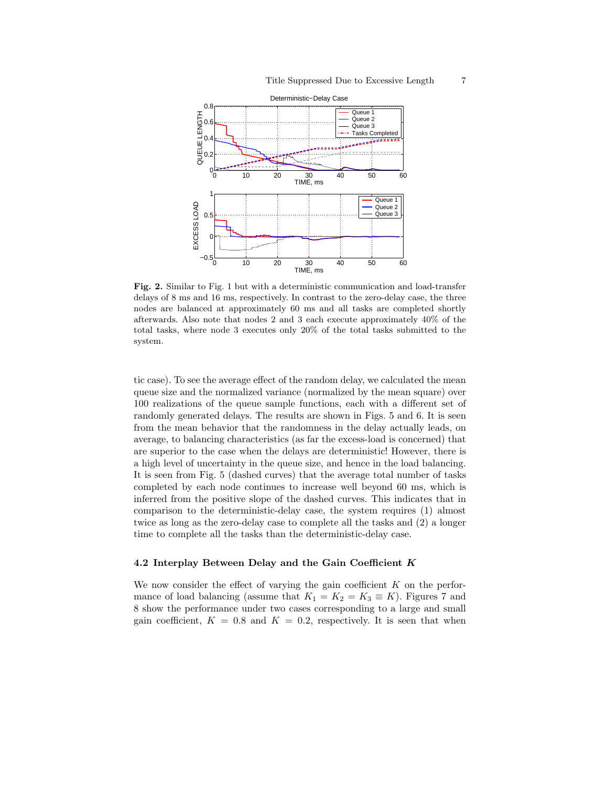

**Fig. 2.** Similar to Fig. 1 but with a deterministic communication and load-transfer delays of 8 ms and 16 ms, respectively. In contrast to the zero-delay case, the three nodes are balanced at approximately 60 ms and all tasks are completed shortly afterwards. Also note that nodes 2 and 3 each execute approximately 40% of the total tasks, where node 3 executes only 20% of the total tasks submitted to the system.

tic case). To see the average effect of the random delay, we calculated the mean queue size and the normalized variance (normalized by the mean square) over 100 realizations of the queue sample functions, each with a different set of randomly generated delays. The results are shown in Figs. 5 and 6. It is seen from the mean behavior that the randomness in the delay actually leads, on average, to balancing characteristics (as far the excess-load is concerned) that are superior to the case when the delays are deterministic! However, there is a high level of uncertainty in the queue size, and hence in the load balancing. It is seen from Fig. 5 (dashed curves) that the average total number of tasks completed by each node continues to increase well beyond 60 ms, which is inferred from the positive slope of the dashed curves. This indicates that in comparison to the deterministic-delay case, the system requires (1) almost twice as long as the zero-delay case to complete all the tasks and (2) a longer time to complete all the tasks than the deterministic-delay case.

#### **4.2 Interplay Between Delay and the Gain Coefficient** *K*

We now consider the effect of varying the gain coefficient  $K$  on the performance of load balancing (assume that  $K_1 = K_2 = K_3 \equiv K$ ). Figures 7 and 8 show the performance under two cases corresponding to a large and small gain coefficient,  $K = 0.8$  and  $K = 0.2$ , respectively. It is seen that when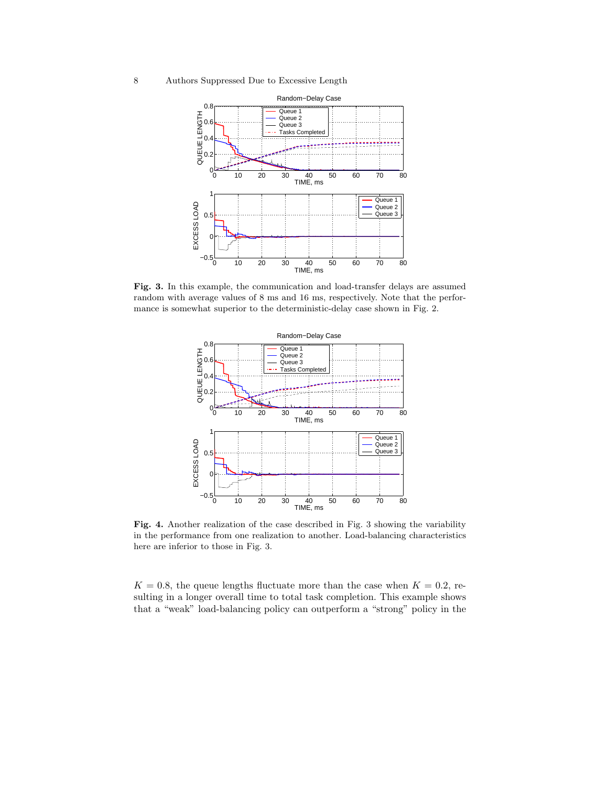8 Authors Suppressed Due to Excessive Length



**Fig. 3.** In this example, the communication and load-transfer delays are assumed random with average values of 8 ms and 16 ms, respectively. Note that the performance is somewhat superior to the deterministic-delay case shown in Fig. 2.



**Fig. 4.** Another realization of the case described in Fig. 3 showing the variability in the performance from one realization to another. Load-balancing characteristics here are inferior to those in Fig. 3.

 $K = 0.8$ , the queue lengths fluctuate more than the case when  $K = 0.2$ , resulting in a longer overall time to total task completion. This example shows that a "weak" load-balancing policy can outperform a "strong" policy in the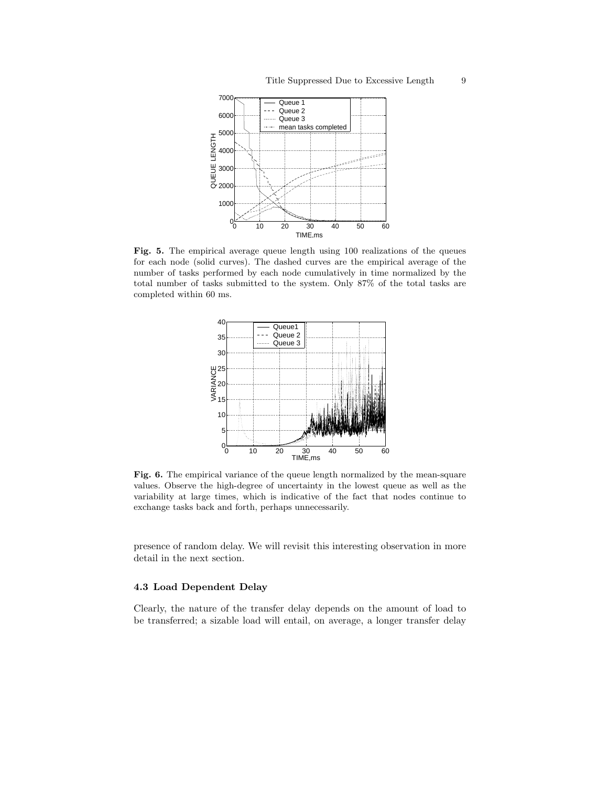

Fig. 5. The empirical average queue length using 100 realizations of the queues for each node (solid curves). The dashed curves are the empirical average of the number of tasks performed by each node cumulatively in time normalized by the total number of tasks submitted to the system. Only 87% of the total tasks are completed within 60 ms.



Fig. 6. The empirical variance of the queue length normalized by the mean-square values. Observe the high-degree of uncertainty in the lowest queue as well as the variability at large times, which is indicative of the fact that nodes continue to exchange tasks back and forth, perhaps unnecessarily.

presence of random delay. We will revisit this interesting observation in more detail in the next section.

#### **4.3 Load Dependent Delay**

Clearly, the nature of the transfer delay depends on the amount of load to be transferred; a sizable load will entail, on average, a longer transfer delay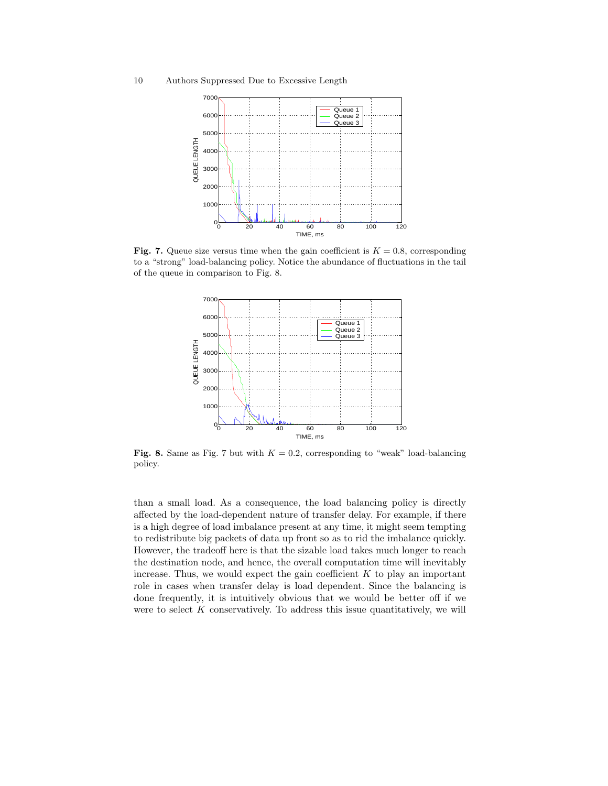10 Authors Suppressed Due to Excessive Length



**Fig. 7.** Queue size versus time when the gain coefficient is  $K = 0.8$ , corresponding to a "strong" load-balancing policy. Notice the abundance of fluctuations in the tail of the queue in comparison to Fig. 8.



**Fig. 8.** Same as Fig. 7 but with  $K = 0.2$ , corresponding to "weak" load-balancing policy.

than a small load. As a consequence, the load balancing policy is directly affected by the load-dependent nature of transfer delay. For example, if there is a high degree of load imbalance present at any time, it might seem tempting to redistribute big packets of data up front so as to rid the imbalance quickly. However, the tradeoff here is that the sizable load takes much longer to reach the destination node, and hence, the overall computation time will inevitably increase. Thus, we would expect the gain coefficient  $K$  to play an important role in cases when transfer delay is load dependent. Since the balancing is done frequently, it is intuitively obvious that we would be better off if we were to select  $K$  conservatively. To address this issue quantitatively, we will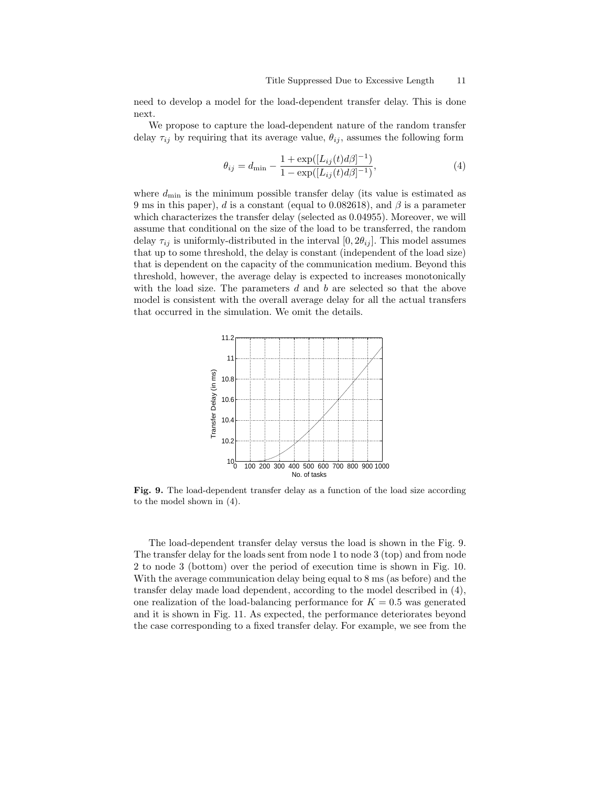need to develop a model for the load-dependent transfer delay. This is done next.

We propose to capture the load-dependent nature of the random transfer delay  $\tau_{ij}$  by requiring that its average value,  $\theta_{ij}$ , assumes the following form

$$
\theta_{ij} = d_{\min} - \frac{1 + \exp([L_{ij}(t)d\beta]^{-1})}{1 - \exp([L_{ij}(t)d\beta]^{-1})},\tag{4}
$$

where  $d_{\min}$  is the minimum possible transfer delay (its value is estimated as 9 ms in this paper), d is a constant (equal to 0.082618), and  $\beta$  is a parameter which characterizes the transfer delay (selected as 0.04955). Moreover, we will assume that conditional on the size of the load to be transferred, the random delay  $\tau_{ij}$  is uniformly-distributed in the interval [0,  $2\theta_{ij}$ ]. This model assumes that up to some threshold, the delay is constant (independent of the load size) that is dependent on the capacity of the communication medium. Beyond this threshold, however, the average delay is expected to increases monotonically with the load size. The parameters  $d$  and  $b$  are selected so that the above model is consistent with the overall average delay for all the actual transfers that occurred in the simulation. We omit the details.



**Fig. 9.** The load-dependent transfer delay as a function of the load size according to the model shown in (4).

The load-dependent transfer delay versus the load is shown in the Fig. 9. The transfer delay for the loads sent from node 1 to node 3 (top) and from node 2 to node 3 (bottom) over the period of execution time is shown in Fig. 10. With the average communication delay being equal to 8 ms (as before) and the transfer delay made load dependent, according to the model described in (4), one realization of the load-balancing performance for  $K = 0.5$  was generated and it is shown in Fig. 11. As expected, the performance deteriorates beyond the case corresponding to a fixed transfer delay. For example, we see from the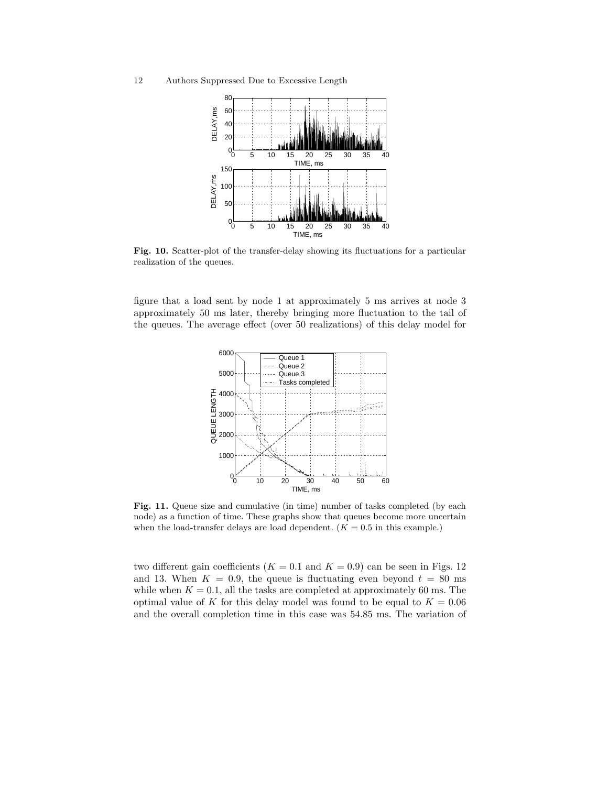12 Authors Suppressed Due to Excessive Length



**Fig. 10.** Scatter-plot of the transfer-delay showing its fluctuations for a particular realization of the queues.

figure that a load sent by node 1 at approximately 5 ms arrives at node 3 approximately 50 ms later, thereby bringing more fluctuation to the tail of the queues. The average effect (over 50 realizations) of this delay model for



**Fig. 11.** Queue size and cumulative (in time) number of tasks completed (by each node) as a function of time. These graphs show that queues become more uncertain when the load-transfer delays are load dependent.  $(K = 0.5$  in this example.)

two different gain coefficients ( $K = 0.1$  and  $K = 0.9$ ) can be seen in Figs. 12 and 13. When  $K = 0.9$ , the queue is fluctuating even beyond  $t = 80$  ms while when  $K = 0.1$ , all the tasks are completed at approximately 60 ms. The optimal value of K for this delay model was found to be equal to  $K = 0.06$ and the overall completion time in this case was 54.85 ms. The variation of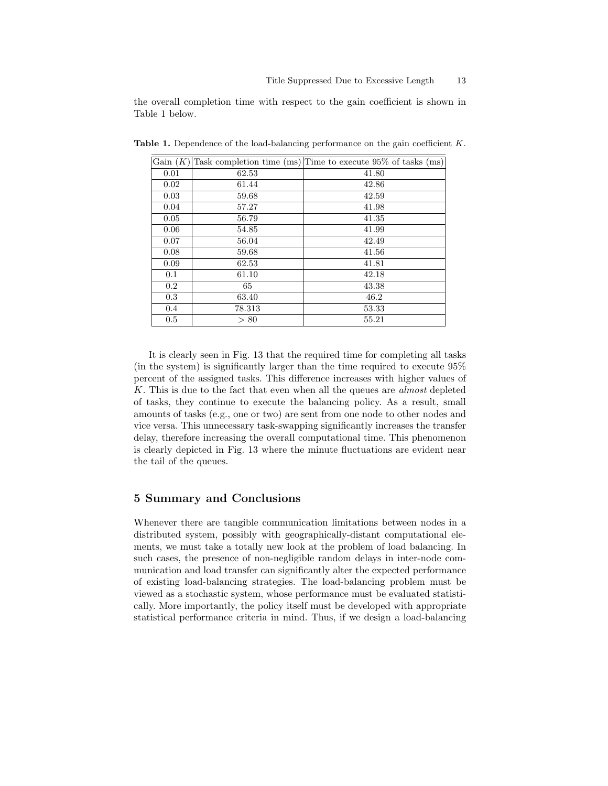the overall completion time with respect to the gain coefficient is shown in Table 1 below.

| Gain $(K)$ |        | Task completion time (ms) Time to execute 95% of tasks (ms) |
|------------|--------|-------------------------------------------------------------|
| 0.01       | 62.53  | 41.80                                                       |
| 0.02       | 61.44  | 42.86                                                       |
| 0.03       | 59.68  | 42.59                                                       |
| 0.04       | 57.27  | 41.98                                                       |
| 0.05       | 56.79  | 41.35                                                       |
| 0.06       | 54.85  | 41.99                                                       |
| 0.07       | 56.04  | 42.49                                                       |
| 0.08       | 59.68  | 41.56                                                       |
| 0.09       | 62.53  | 41.81                                                       |
| 0.1        | 61.10  | 42.18                                                       |
| $0.2\,$    | 65     | 43.38                                                       |
| 0.3        | 63.40  | 46.2                                                        |
| $0.4\,$    | 78.313 | 53.33                                                       |
| 0.5        | > 80   | 55.21                                                       |

**Table 1.** Dependence of the load-balancing performance on the gain coefficient *<sup>K</sup>*.

It is clearly seen in Fig. 13 that the required time for completing all tasks (in the system) is significantly larger than the time required to execute 95% percent of the assigned tasks. This difference increases with higher values of K. This is due to the fact that even when all the queues are *almost* depleted of tasks, they continue to execute the balancing policy. As a result, small amounts of tasks (e.g., one or two) are sent from one node to other nodes and vice versa. This unnecessary task-swapping significantly increases the transfer delay, therefore increasing the overall computational time. This phenomenon is clearly depicted in Fig. 13 where the minute fluctuations are evident near the tail of the queues.

## **5 Summary and Conclusions**

Whenever there are tangible communication limitations between nodes in a distributed system, possibly with geographically-distant computational elements, we must take a totally new look at the problem of load balancing. In such cases, the presence of non-negligible random delays in inter-node communication and load transfer can significantly alter the expected performance of existing load-balancing strategies. The load-balancing problem must be viewed as a stochastic system, whose performance must be evaluated statistically. More importantly, the policy itself must be developed with appropriate statistical performance criteria in mind. Thus, if we design a load-balancing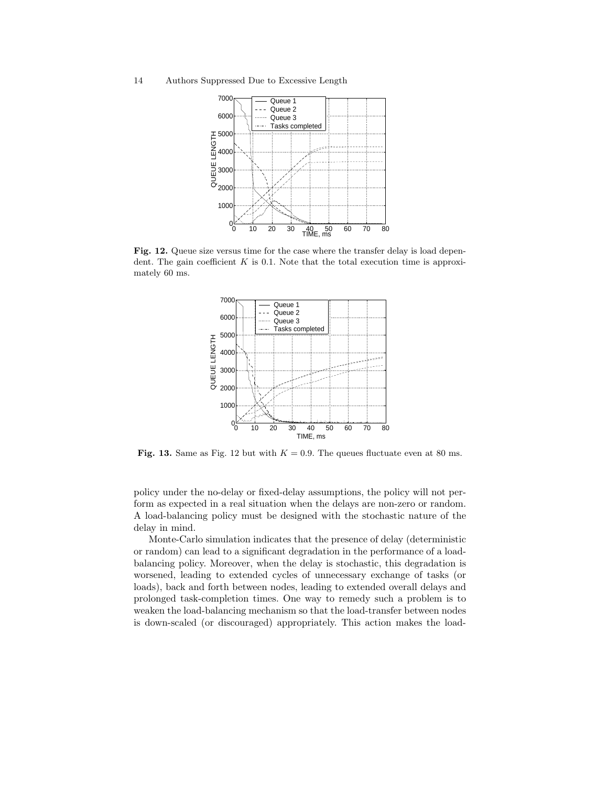14 Authors Suppressed Due to Excessive Length



**Fig. 12.** Queue size versus time for the case where the transfer delay is load dependent. The gain coefficient  $K$  is 0.1. Note that the total execution time is approximately 60 ms.



**Fig. 13.** Same as Fig. 12 but with  $K = 0.9$ . The queues fluctuate even at 80 ms.

policy under the no-delay or fixed-delay assumptions, the policy will not perform as expected in a real situation when the delays are non-zero or random. A load-balancing policy must be designed with the stochastic nature of the delay in mind.

Monte-Carlo simulation indicates that the presence of delay (deterministic or random) can lead to a significant degradation in the performance of a loadbalancing policy. Moreover, when the delay is stochastic, this degradation is worsened, leading to extended cycles of unnecessary exchange of tasks (or loads), back and forth between nodes, leading to extended overall delays and prolonged task-completion times. One way to remedy such a problem is to weaken the load-balancing mechanism so that the load-transfer between nodes is down-scaled (or discouraged) appropriately. This action makes the load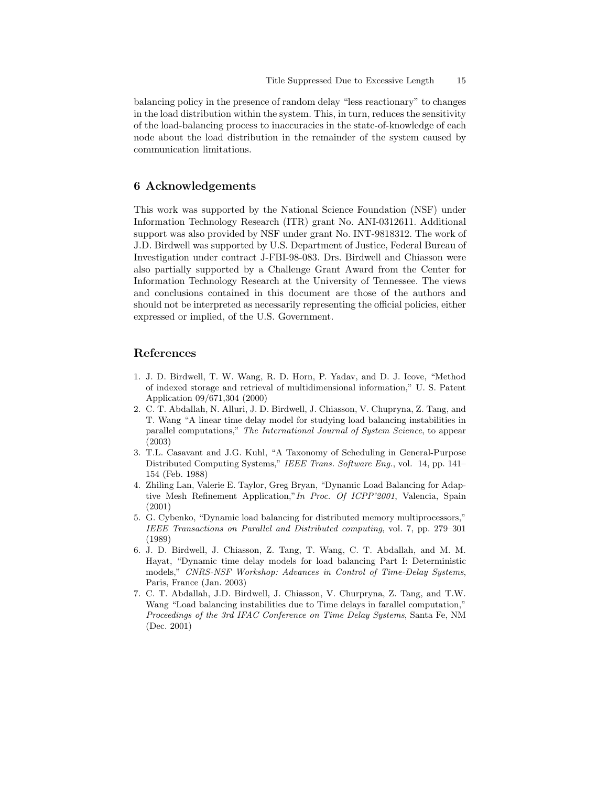balancing policy in the presence of random delay "less reactionary" to changes in the load distribution within the system. This, in turn, reduces the sensitivity of the load-balancing process to inaccuracies in the state-of-knowledge of each node about the load distribution in the remainder of the system caused by communication limitations.

# **6 Acknowledgements**

This work was supported by the National Science Foundation (NSF) under Information Technology Research (ITR) grant No. ANI-0312611. Additional support was also provided by NSF under grant No. INT-9818312. The work of J.D. Birdwell was supported by U.S. Department of Justice, Federal Bureau of Investigation under contract J-FBI-98-083. Drs. Birdwell and Chiasson were also partially supported by a Challenge Grant Award from the Center for Information Technology Research at the University of Tennessee. The views and conclusions contained in this document are those of the authors and should not be interpreted as necessarily representing the official policies, either expressed or implied, of the U.S. Government.

## **References**

- 1. J. D. Birdwell, T. W. Wang, R. D. Horn, P. Yadav, and D. J. Icove, "Method of indexed storage and retrieval of multidimensional information," U. S. Patent Application 09/671,304 (2000)
- 2. C. T. Abdallah, N. Alluri, J. D. Birdwell, J. Chiasson, V. Chupryna, Z. Tang, and T. Wang "A linear time delay model for studying load balancing instabilities in parallel computations," *The International Journal of System Science*, to appear (2003)
- 3. T.L. Casavant and J.G. Kuhl, "A Taxonomy of Scheduling in General-Purpose Distributed Computing Systems," *IEEE Trans. Software Eng.*, vol. 14, pp. 141– 154 (Feb. 1988)
- 4. Zhiling Lan, Valerie E. Taylor, Greg Bryan, "Dynamic Load Balancing for Adaptive Mesh Refinement Application,"*In Proc. Of ICPP'2001*, Valencia, Spain (2001)
- 5. G. Cybenko, "Dynamic load balancing for distributed memory multiprocessors," *IEEE Transactions on Parallel and Distributed computing*, vol. 7, pp. 279–301 (1989)
- 6. J. D. Birdwell, J. Chiasson, Z. Tang, T. Wang, C. T. Abdallah, and M. M. Hayat, "Dynamic time delay models for load balancing Part I: Deterministic models," *CNRS-NSF Workshop: Advances in Control of Time-Delay Systems*, Paris, France (Jan. 2003)
- 7. C. T. Abdallah, J.D. Birdwell, J. Chiasson, V. Churpryna, Z. Tang, and T.W. Wang "Load balancing instabilities due to Time delays in farallel computation," *Proceedings of the 3rd IFAC Conference on Time Delay Systems*, Santa Fe, NM (Dec. 2001)